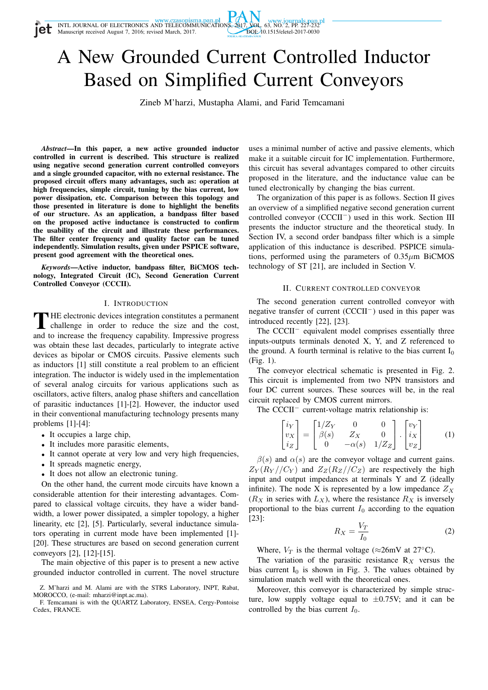

# A New Grounded Current Controlled Inductor Based on Simplified Current Conveyors

Zineb M'harzi, Mustapha Alami, and Farid Temcamani

*Abstract*—In this paper, a new active grounded inductor controlled in current is described. This structure is realized using negative second generation current controlled conveyors and a single grounded capacitor, with no external resistance. The proposed circuit offers many advantages, such as: operation at high frequencies, simple circuit, tuning by the bias current, low power dissipation, etc. Comparison between this topology and those presented in literature is done to highlight the benefits of our structure. As an application, a bandpass filter based on the proposed active inductance is constructed to confirm the usability of the circuit and illustrate these performances. The filter center frequency and quality factor can be tuned independently. Simulation results, given under PSPICE software, present good agreement with the theoretical ones.

*Keywords*—Active inductor, bandpass filter, BiCMOS technology, Integrated Circuit (IC), Second Generation Current Controlled Conveyor (CCCII).

## I. INTRODUCTION

THE electronic devices integration constitutes a permanent<br>challenge in order to reduce the size and the cost, HE electronic devices integration constitutes a permanent and to increase the frequency capability. Impressive progress was obtain these last decades, particularly to integrate active devices as bipolar or CMOS circuits. Passive elements such as inductors [1] still constitute a real problem to an efficient integration. The inductor is widely used in the implementation of several analog circuits for various applications such as oscillators, active filters, analog phase shifters and cancellation of parasitic inductances [1]-[2]. However, the inductor used in their conventional manufacturing technology presents many problems [1]-[4]:

- It occupies a large chip,
- It includes more parasitic elements,
- It cannot operate at very low and very high frequencies,
- It spreads magnetic energy,
- It does not allow an electronic tuning.

On the other hand, the current mode circuits have known a considerable attention for their interesting advantages. Compared to classical voltage circuits, they have a wider bandwidth, a lower power dissipated, a simpler topology, a higher linearity, etc [2], [5]. Particularly, several inductance simulators operating in current mode have been implemented [1]- [20]. These structures are based on second generation current conveyors [2], [12]-[15].

The main objective of this paper is to present a new active grounded inductor controlled in current. The novel structure uses a minimal number of active and passive elements, which make it a suitable circuit for IC implementation. Furthermore, this circuit has several advantages compared to other circuits proposed in the literature, and the inductance value can be tuned electronically by changing the bias current.

The organization of this paper is as follows. Section II gives an overview of a simplified negative second generation current controlled conveyor (CCCII−) used in this work. Section III presents the inductor structure and the theoretical study. In Section IV, a second order bandpass filter which is a simple application of this inductance is described. PSPICE simulations, performed using the parameters of  $0.35 \mu m$  BiCMOS technology of ST [21], are included in Section V.

#### II. CURRENT CONTROLLED CONVEYOR

The second generation current controlled conveyor with negative transfer of current (CCCII<sup>−</sup>) used in this paper was introduced recently [22], [23].

The CCCII<sup>−</sup> equivalent model comprises essentially three inputs-outputs terminals denoted X, Y, and Z referenced to the ground. A fourth terminal is relative to the bias current  $I_0$ (Fig. 1).

The conveyor electrical schematic is presented in Fig. 2. This circuit is implemented from two NPN transistors and four DC current sources. These sources will be, in the real circuit replaced by CMOS current mirrors.

The CCCII<sup>−</sup> current-voltage matrix relationship is:

$$
\begin{bmatrix} i_Y \\ v_X \\ i_Z \end{bmatrix} = \begin{bmatrix} 1/Z_Y & 0 & 0 \\ \beta(s) & Z_X & 0 \\ 0 & -\alpha(s) & 1/Z_Z \end{bmatrix} \cdot \begin{bmatrix} v_Y \\ i_X \\ v_Z \end{bmatrix}
$$
 (1)

 $\beta(s)$  and  $\alpha(s)$  are the conveyor voltage and current gains.  $Z_Y(R_Y//C_Y)$  and  $Z_Z(R_Z//C_Z)$  are respectively the high input and output impedances at terminals Y and Z (ideally infinite). The node X is represented by a low impedance  $Z_X$  $(R_X$  in series with  $L_X$ ), where the resistance  $R_X$  is inversely proportional to the bias current  $I_0$  according to the equation [23]:

$$
R_X = \frac{V_T}{I_0} \tag{2}
$$

Where,  $V_T$  is the thermal voltage ( $\approx$ 26mV at 27°C).

The variation of the parasitic resistance  $R_X$  versus the bias current  $I_0$  is shown in Fig. 3. The values obtained by simulation match well with the theoretical ones.

Moreover, this conveyor is characterized by simple structure, low supply voltage equal to  $\pm 0.75V$ ; and it can be controlled by the bias current  $I_0$ .

Z. M'harzi and M. Alami are with the STRS Laboratory, INPT, Rabat, MOROCCO, (e-mail: mharzi@inpt.ac.ma).

F. Temcamani is with the QUARTZ Laboratory, ENSEA, Cergy-Pontoise Cedex, FRANCE.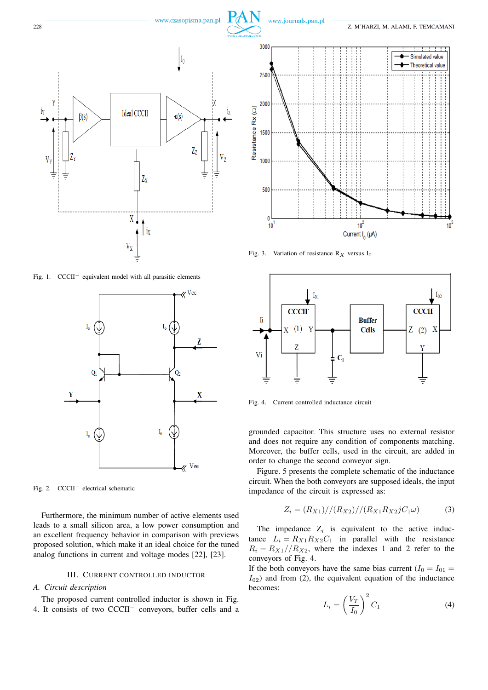



www.czasopisma.pan.pl

Fig. 1. CCCII<sup>−</sup> equivalent model with all parasitic elements



Fig. 2. CCCII<sup>−</sup> electrical schematic

Furthermore, the minimum number of active elements used leads to a small silicon area, a low power consumption and an excellent frequency behavior in comparison with previews proposed solution, which make it an ideal choice for the tuned analog functions in current and voltage modes [22], [23].

## III. CURRENT CONTROLLED INDUCTOR

*A. Circuit description*

The proposed current controlled inductor is shown in Fig. 4. It consists of two CCCII<sup>−</sup> conveyors, buffer cells and a



Fig. 3. Variation of resistance  $R_X$  versus I<sub>0</sub>



Fig. 4. Current controlled inductance circuit

grounded capacitor. This structure uses no external resistor and does not require any condition of components matching. Moreover, the buffer cells, used in the circuit, are added in order to change the second conveyor sign.

Figure. 5 presents the complete schematic of the inductance circuit. When the both conveyors are supposed ideals, the input impedance of the circuit is expressed as:

$$
Z_i = (R_{X1}) // (R_{X2}) // (R_{X1}R_{X2}jC_1\omega)
$$
 (3)

The impedance  $Z_i$  is equivalent to the active inductance  $L_i = R_{X1}R_{X2}C_1$  in parallel with the resistance  $R_i = R_{X1}/R_{X2}$ , where the indexes 1 and 2 refer to the conveyors of Fig. 4.

If the both conveyors have the same bias current ( $I_0 = I_{01}$  =  $I_{02}$ ) and from (2), the equivalent equation of the inductance becomes:

$$
L_i = \left(\frac{V_T}{I_0}\right)^2 C_1 \tag{4}
$$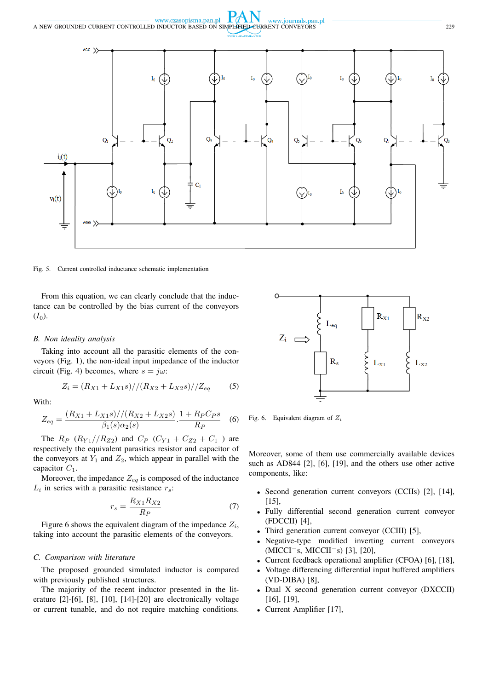

Fig. 5. Current controlled inductance schematic implementation

From this equation, we can clearly conclude that the inductance can be controlled by the bias current of the conveyors  $(I_0).$ 

## *B. Non ideality analysis*

Taking into account all the parasitic elements of the conveyors (Fig. 1), the non-ideal input impedance of the inductor circuit (Fig. 4) becomes, where  $s = j\omega$ :

$$
Z_i = (R_{X1} + L_{X1}s) // (R_{X2} + L_{X2}s) // Z_{eq}
$$
 (5)

With:

$$
Z_{eq} = \frac{(R_{X1} + L_{X1}s) // (R_{X2} + L_{X2}s)}{\beta_1(s)\alpha_2(s)} \cdot \frac{1 + R_P C_P s}{R_P}
$$
(6)

The  $R_P$  ( $R_{Y1}/R_{Z2}$ ) and  $C_P$  ( $C_{Y1} + C_{Z2} + C_1$ ) are respectively the equivalent parasitics resistor and capacitor of the conveyors at  $Y_1$  and  $Z_2$ , which appear in parallel with the capacitor  $C_1$ .

Moreover, the impedance  $Z_{eq}$  is composed of the inductance  $L_i$  in series with a parasitic resistance  $r_s$ :

$$
r_s = \frac{R_{X1}R_{X2}}{R_P} \tag{7}
$$

Figure 6 shows the equivalent diagram of the impedance  $Z_i$ , taking into account the parasitic elements of the conveyors.

## *C. Comparison with literature*

The proposed grounded simulated inductor is compared with previously published structures.

The majority of the recent inductor presented in the literature [2]-[6], [8], [10], [14]-[20] are electronically voltage or current tunable, and do not require matching conditions.



Fig. 6. Equivalent diagram of  $Z_i$ 

Moreover, some of them use commercially available devices such as AD844 [2], [6], [19], and the others use other active components, like:

- Second generation current conveyors (CCIIs) [2], [14], [15],
- Fully differential second generation current conveyor (FDCCII) [4],
- Third generation current conveyor (CCIII) [5],
- Negative-type modified inverting current conveyors (MICCI<sup>−</sup>s, MICCII<sup>−</sup>s) [3], [20],
- Current feedback operational amplifier (CFOA) [6], [18],
- Voltage differencing differential input buffered amplifiers (VD-DIBA) [8],
- Dual X second generation current conveyor (DXCCII) [16], [19],
- Current Amplifier [17],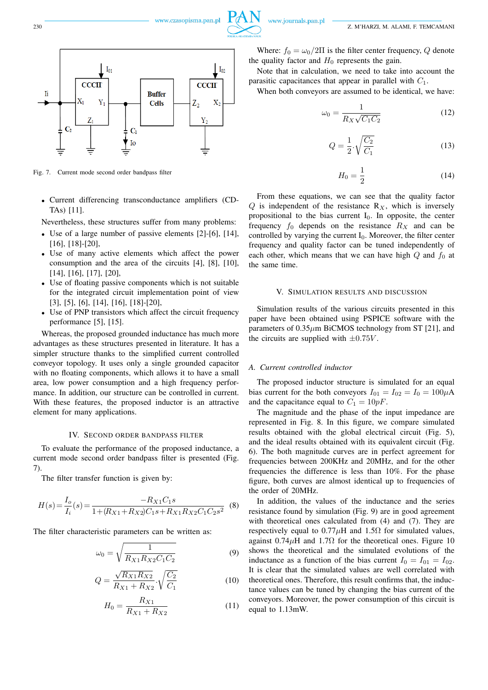

Fig. 7. Current mode second order bandpass filter

• Current differencing transconductance amplifiers (CD-TAs) [11].

Nevertheless, these structures suffer from many problems:

- Use of a large number of passive elements [2]-[6], [14], [16], [18]-[20],
- Use of many active elements which affect the power consumption and the area of the circuits [4], [8], [10], [14], [16], [17], [20],
- Use of floating passive components which is not suitable for the integrated circuit implementation point of view [3], [5], [6], [14], [16], [18]-[20],
- Use of PNP transistors which affect the circuit frequency performance [5], [15].

Whereas, the proposed grounded inductance has much more advantages as these structures presented in literature. It has a simpler structure thanks to the simplified current controlled conveyor topology. It uses only a single grounded capacitor with no floating components, which allows it to have a small area, low power consumption and a high frequency performance. In addition, our structure can be controlled in current. With these features, the proposed inductor is an attractive element for many applications.

# IV. SECOND ORDER BANDPASS FILTER

To evaluate the performance of the proposed inductance, a current mode second order bandpass filter is presented (Fig. 7).

The filter transfer function is given by:

$$
H(s) = \frac{I_o}{I_i}(s) = \frac{-R_{X1}C_1s}{1 + (R_{X1} + R_{X2})C_1s + R_{X1}R_{X2}C_1C_2s^2}
$$
 (8)

The filter characteristic parameters can be written as:

$$
\omega_0 = \sqrt{\frac{1}{R_{X1}R_{X2}C_1C_2}}
$$
\n(9)

$$
Q = \frac{\sqrt{R_{X1}R_{X2}}}{R_{X1} + R_{X2}} \sqrt{\frac{C_2}{C_1}}
$$
 (10)

$$
H_0 = \frac{R_{X1}}{R_{X1} + R_{X2}}\tag{11}
$$

Where:  $f_0 = \omega_0/2\Pi$  is the filter center frequency, Q denote the quality factor and  $H_0$  represents the gain.

Note that in calculation, we need to take into account the parasitic capacitances that appear in parallel with  $C_1$ .

When both conveyors are assumed to be identical, we have:

$$
\omega_0 = \frac{1}{R_X \sqrt{C_1 C_2}}\tag{12}
$$

$$
Q = \frac{1}{2} \cdot \sqrt{\frac{C_2}{C_1}}\tag{13}
$$

$$
H_0 = \frac{1}{2} \tag{14}
$$

From these equations, we can see that the quality factor  $Q$  is independent of the resistance  $R_X$ , which is inversely propositional to the bias current  $I_0$ . In opposite, the center frequency  $f_0$  depends on the resistance  $R_X$  and can be controlled by varying the current  $I_0$ . Moreover, the filter center frequency and quality factor can be tuned independently of each other, which means that we can have high  $Q$  and  $f_0$  at the same time.

## V. SIMULATION RESULTS AND DISCUSSION

Simulation results of the various circuits presented in this paper have been obtained using PSPICE software with the parameters of  $0.35\mu$ m BiCMOS technology from ST [21], and the circuits are supplied with  $\pm 0.75V$ .

#### *A. Current controlled inductor*

The proposed inductor structure is simulated for an equal bias current for the both conveyors  $I_{01} = I_{02} = I_0 = 100\mu\text{A}$ and the capacitance equal to  $C_1 = 10pF$ .

The magnitude and the phase of the input impedance are represented in Fig. 8. In this figure, we compare simulated results obtained with the global electrical circuit (Fig. 5), and the ideal results obtained with its equivalent circuit (Fig. 6). The both magnitude curves are in perfect agreement for frequencies between 200KHz and 20MHz, and for the other frequencies the difference is less than 10%. For the phase figure, both curves are almost identical up to frequencies of the order of 20MHz.

In addition, the values of the inductance and the series resistance found by simulation (Fig. 9) are in good agreement with theoretical ones calculated from (4) and (7). They are respectively equal to  $0.77\mu$ H and  $1.5\Omega$  for simulated values, against  $0.74\mu$ H and  $1.7\Omega$  for the theoretical ones. Figure 10 shows the theoretical and the simulated evolutions of the inductance as a function of the bias current  $I_0 = I_{01} = I_{02}$ . It is clear that the simulated values are well correlated with theoretical ones. Therefore, this result confirms that, the inductance values can be tuned by changing the bias current of the conveyors. Moreover, the power consumption of this circuit is equal to 1.13mW.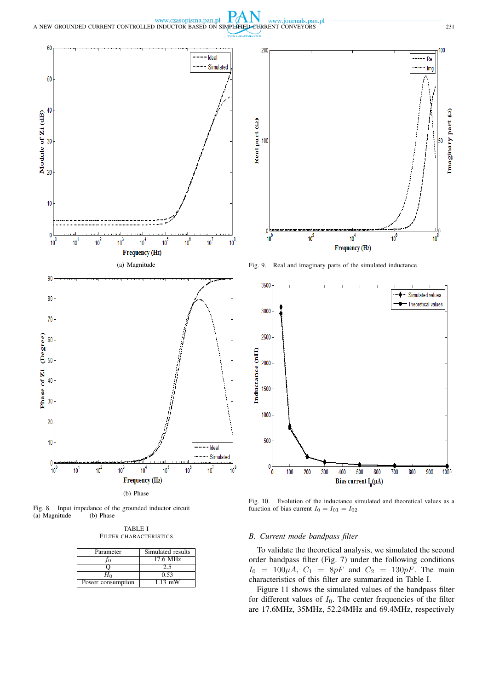$P\mathcal{A}$ www.czasopisma.pan.pl www.journals.pan.pl A NEW GROUNDED CURRENT CONTROLLED INDUCTOR BASED ON SIMPLIFIED CURRENT CONVEYORS 231



Fig. 8. Input impedance of the grounded inductor circuit (a) Magnitude (b) Phase  $(a)$  Magnitude

TABLE I FILTER CHARACTERISTICS

| Parameter         | Simulated results |
|-------------------|-------------------|
|                   | 17.6 MHz          |
|                   | 2.5               |
|                   | 0.53              |
| Power consumption | $1.13$ mW         |



Fig. 9. Real and imaginary parts of the simulated inductance



Fig. 10. Evolution of the inductance simulated and theoretical values as a function of bias current  $I_0 = I_{01} = I_{02}$ 

## *B. Current mode bandpass filter*

To validate the theoretical analysis, we simulated the second order bandpass filter (Fig. 7) under the following conditions  $I_0 = 100 \mu A$ ,  $C_1 = 8pF$  and  $C_2 = 130pF$ . The main characteristics of this filter are summarized in Table I.

Figure 11 shows the simulated values of the bandpass filter for different values of  $I_0$ . The center frequencies of the filter are 17.6MHz, 35MHz, 52.24MHz and 69.4MHz, respectively